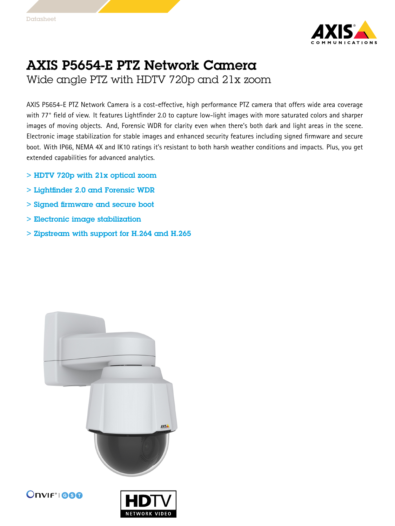

## AXIS P5654-E PTZ Network Camera Wide angle PTZ with HDTV 720p and 21x zoom

AXIS P5654-E PTZ Network Camera is <sup>a</sup> cost-effective, high performance PTZ camera that offers wide area coverage with 77° field of view. It features Lightfinder 2.0 to capture low-light images with more saturated colors and sharper images of moving objects. And, Forensic WDR for clarity even when there's both dark and light areas in the scene. Electronic image stabilization for stable images and enhanced security features including signed firmware and secure boot. With IP66, NEMA 4X and IK10 ratings it's resistant to both harsh weather conditions and impacts. Plus, you get extended capabilities for advanced analytics.

- > HDTV 720p with 21x optical zoom
- > Lightfinder 2.0 and Forensic WDR
- > Signed firmware and secure boot
- > Electronic image stabilization
- > Zipstream with support for H.264 and H.265





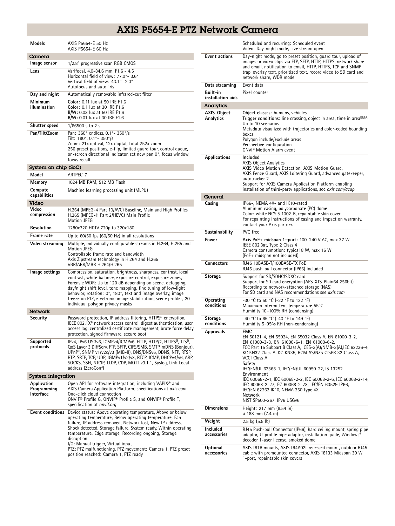## AXIS P5654-E PTZ Network Camera

| <b>Models</b>                           | AXIS P5654-E 50 Hz<br>AXIS P5654-E 60 Hz                                                                                                                                                                                                                                                                                                                                                                                                                                    |  |
|-----------------------------------------|-----------------------------------------------------------------------------------------------------------------------------------------------------------------------------------------------------------------------------------------------------------------------------------------------------------------------------------------------------------------------------------------------------------------------------------------------------------------------------|--|
| Camera                                  |                                                                                                                                                                                                                                                                                                                                                                                                                                                                             |  |
| Image sensor                            | 1/2.8" progressive scan RGB CMOS                                                                                                                                                                                                                                                                                                                                                                                                                                            |  |
| Lens                                    | Varifocal, 4.0-84.6 mm, F1.6 - 4.5<br>Horizontal field of view: 77.0°-3.6°<br>Vertical field of view: 43.1°-2.0°<br>Autofocus and auto-iris                                                                                                                                                                                                                                                                                                                                 |  |
| Day and night                           | Automatically removable infrared-cut filter                                                                                                                                                                                                                                                                                                                                                                                                                                 |  |
| Minimum<br>illumination                 | Color: 0.11 lux at 50 IRE F1.6<br>Color: 0.1 lux at 30 IRE F1.6<br>B/W: 0.03 lux at 50 IRE F1.6<br><b>B/W:</b> 0.01 lux at 30 IRE F1.6                                                                                                                                                                                                                                                                                                                                      |  |
| Shutter speed                           | 1/66500 s to 2 s                                                                                                                                                                                                                                                                                                                                                                                                                                                            |  |
| Pan/Tilt/Zoom                           | Pan: 360° endless, 0.1°- 350°/s<br>Tilt: 180°, 0.1°-350°/s<br>Zoom: 21x optical, 12x digital, Total 252x zoom<br>256 preset positions, e-flip, limited guard tour, control queue,<br>on-screen directional indicator, set new pan 0°, focus window,<br>focus recall                                                                                                                                                                                                         |  |
| System on chip (SoC)                    |                                                                                                                                                                                                                                                                                                                                                                                                                                                                             |  |
| Model                                   | ARTPEC-7                                                                                                                                                                                                                                                                                                                                                                                                                                                                    |  |
| Memory                                  | 1024 MB RAM, 512 MB Flash                                                                                                                                                                                                                                                                                                                                                                                                                                                   |  |
| Compute<br>capabilities                 | Machine learning processing unit (MLPU)                                                                                                                                                                                                                                                                                                                                                                                                                                     |  |
| Video                                   |                                                                                                                                                                                                                                                                                                                                                                                                                                                                             |  |
| Video<br>compression                    | H.264 (MPEG-4 Part 10/AVC) Baseline, Main and High Profiles<br>H.265 (MPEG-H Part 2/HEVC) Main Profile<br><b>Motion JPEG</b>                                                                                                                                                                                                                                                                                                                                                |  |
| <b>Resolution</b>                       | 1280x720 HDTV 720p to 320x180                                                                                                                                                                                                                                                                                                                                                                                                                                               |  |
| Frame rate                              | Up to $60/50$ fps $(60/50$ Hz) in all resolutions                                                                                                                                                                                                                                                                                                                                                                                                                           |  |
| Video streaming                         | Multiple, individually configurable streams in H.264, H.265 and<br><b>Motion JPEG</b><br>Controllable frame rate and bandwidth<br>Axis Zipstream technology in H.264 and H.265<br>VBR/ABR/MBR H.264/H.265                                                                                                                                                                                                                                                                   |  |
| Image settings                          | Compression, saturation, brightness, sharpness, contrast, local<br>contrast, white balance, exposure control, exposure zones,<br>Forensic WDR: Up to 120 dB depending on scene, defogging,<br>day/night shift level, tone mapping, fine tuning of low-light<br>behavior, rotation: 0°, 180°, text and image overlay, image<br>freeze on PTZ, electronic image stabilization, scene profiles, 20<br>individual polygon privacy masks                                         |  |
| Network                                 |                                                                                                                                                                                                                                                                                                                                                                                                                                                                             |  |
| Security                                | Password protection, IP address filtering, HTTPS <sup>a</sup> encryption,<br>IEEE 802.1X <sup>a</sup> network access control, digest authentication, user<br>access log, centralized certificate management, brute force delay<br>protection, signed firmware, secure boot                                                                                                                                                                                                  |  |
| Supported<br>protocols                  | IPv4, IPv6 USGv6, ICMPv4/ICMPv6, HTTP, HTTP/2, HTTPS <sup>a</sup> , TLS <sup>a</sup> ,<br>QoS Layer 3 DiffServ, FTP, SFTP, CIFS/SMB, SMTP, mDNS (Bonjour),<br>UPnP®, SNMP v1/v2c/v3 (MIB-II), DNS/DNSv6, DDNS, NTP, RTSP,<br>RTP, SRTP, TCP, UDP, IGMPv1/v2/v3, RTCP, ICMP, DHCPv4/v6, ARP,<br>SOCKS, SSH, NTCIP, LLDP, CDP, MQTT v3.1.1, Syslog, Link-Local<br>address (ZeroConf)                                                                                          |  |
| <b>System integration</b>               |                                                                                                                                                                                                                                                                                                                                                                                                                                                                             |  |
| Application<br>Programming<br>Interface | Open API for software integration, including VAPIX <sup>®</sup> and<br>AXIS Camera Application Platform; specifications at axis.com<br>One-click cloud connection<br>ONVIF <sup>®</sup> Profile G, ONVIF® Profile S, and ONVIF® Profile T,<br>specification at onvif.org                                                                                                                                                                                                    |  |
| <b>Event conditions</b>                 | Device status: Above operating temperature, Above or below<br>operating temperature, Below operating temperature, Fan<br>failure, IP address removed, Network lost, New IP address,<br>Shock detected, Storage failure, System ready, Within operating<br>temperature, Edge storage, Recording ongoing, Storage<br>disruption<br>I/O: Manual trigger, Virtual input<br>PTZ: PTZ malfunctioning, PTZ movement: Camera 1, PTZ preset<br>position reached: Camera 1, PTZ ready |  |

|                                 | Scheduled and recurring: Scheduled event<br>Video: Day-night mode, Live stream open                                                                                                                                                                                                                                                                                                                       |
|---------------------------------|-----------------------------------------------------------------------------------------------------------------------------------------------------------------------------------------------------------------------------------------------------------------------------------------------------------------------------------------------------------------------------------------------------------|
| <b>Event actions</b>            | Day-night mode, go to preset position, guard tour, upload of<br>images or video clips via FTP, SFTP, HTTP, HTTPS, network share<br>and email, notification to email, HTTP, HTTPS, TCP and SNMP<br>trap, overlay text, prioritized text, record video to SD card and<br>network share, WDR mode                                                                                                            |
| Data streaming                  | Event data                                                                                                                                                                                                                                                                                                                                                                                                |
| Built-in<br>installation aids   | Pixel counter                                                                                                                                                                                                                                                                                                                                                                                             |
| Analytics                       |                                                                                                                                                                                                                                                                                                                                                                                                           |
| <b>AXIS Object</b><br>Analytics | Object classes: humans, vehicles<br>Trigger conditions: line crossing, object in area, time in area <sup>BETA</sup><br>Up to 10 scenarios<br>Metadata visualized with trajectories and color-coded bounding<br>boxes<br>Polygon include/exclude areas<br>Perspective configuration<br><b>ONVIF Motion Alarm event</b>                                                                                     |
| <b>Applications</b>             | Included<br><b>AXIS Object Analytics</b><br>AXIS Video Motion Detection, AXIS Motion Guard,<br>AXIS Fence Guard, AXIS Loitering Guard, advanced gatekeeper,<br>autotracker 2<br>Support for AXIS Camera Application Platform enabling<br>installation of third-party applications, see <i>axis.com/acap</i>                                                                                               |
| General                         |                                                                                                                                                                                                                                                                                                                                                                                                           |
| Casing                          | IP66-, NEMA 4X- and IK10-rated<br>Aluminum casing, polycarbonate (PC) dome<br>Color: white NCS S 1002-B, repaintable skin cover<br>For repainting instructions of casing and impact on warranty,<br>contact your Axis partner.                                                                                                                                                                            |
| Sustainability                  | PVC free                                                                                                                                                                                                                                                                                                                                                                                                  |
| Power                           | Axis PoE+ midspan 1-port: 100-240 V AC, max 37 W<br>IEEE 802.3at, Type 2 Class 4<br>Camera consumption: typical 8 W, max 16 W<br>(PoE+ midspan not included)                                                                                                                                                                                                                                              |
| <b>Connectors</b>               | RJ45 10BASE-T/100BASE-TX PoE<br>RJ45 push-pull connector (IP66) included                                                                                                                                                                                                                                                                                                                                  |
| Storage                         | Support for SD/SDHC/SDXC card<br>Support for SD card encryption (AES-XTS-Plain64 256bit)<br>Recording to network-attached storage (NAS)<br>For SD card and NAS recommendations see <i>axis.com</i>                                                                                                                                                                                                        |
| Operating<br>conditions         | -30 °C to 50 °C (-22 °F to 122 °F)<br>Maximum intermittent temperature 55°C<br>Humidity 10-100% RH (condensing)                                                                                                                                                                                                                                                                                           |
| Storage<br>conditions           | -40 °C to 65 °C (-40 °F to 149 °F)<br>Humidity 5-95% RH (non-condensing)                                                                                                                                                                                                                                                                                                                                  |
| <b>Approvals</b>                | <b>EMC</b><br>EN 50121-4, EN 55024, EN 55032 Class A, EN 61000-3-2,<br>EN 61000-3-3, EN 61000-6-1, EN 61000-6-2,<br>FCC Part 15 Subpart B Class A, ICES-3(A)/NMB-3(A), IEC 62236-4,<br>KC KN32 Class A, KC KN35, RCM AS/NZS CISPR 32 Class A,<br>VCCI Class A<br>Safety<br>IEC/EN/UL 62368-1, IEC/EN/UL 60950-22, IS 13252<br>Environment<br>IEC 60068-2-1, IEC 60068-2-2, IEC 60068-2-6, IEC 60068-2-14, |
|                                 | IEC 60068-2-27, EC 60068-2-78, IEC/EN 60529 IP66,<br>IEC/EN 62262 IK10, NEMA 250 Type 4X<br>Network<br>NIST SP500-267, IPv6 USGv6                                                                                                                                                                                                                                                                         |
| <b>Dimensions</b>               | Height: 217 mm (8.54 in)<br>ø 188 mm (7.4 in)                                                                                                                                                                                                                                                                                                                                                             |
| Weight                          | 2.5 kg (5.5 lb)                                                                                                                                                                                                                                                                                                                                                                                           |
| Included<br>accessories         | RJ45 Push-pull Connector (IP66), hard ceiling mount, spring pipe<br>adaptor, U-profile pipe adaptor, installation guide, Windows®<br>decoder 1-user license, smoked dome                                                                                                                                                                                                                                  |
| Optional<br>accessories         | AXIS T91B mounts, AXIS T94A02L recessed mount, outdoor RJ45<br>cable with premounted connector, AXIS T8133 Midspan 30 W<br>1-port, repaintable skin covers                                                                                                                                                                                                                                                |